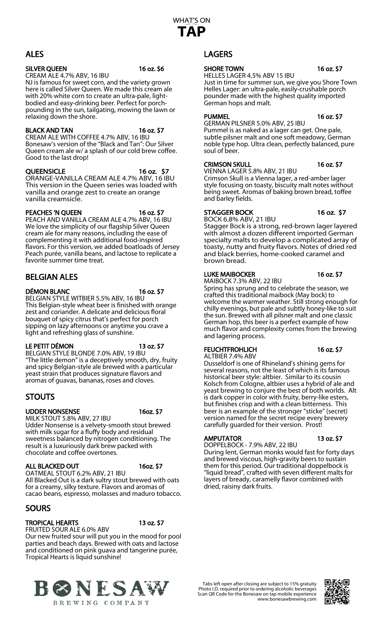## ALES

#### SILVER QUEEN 16 oz. \$6

CREAM ALE 4.7% ABV, 16 IBU NJ is famous for sweet corn, and the variety grown here is called Silver Queen. We made this cream ale with 20% white corn to create an ultra-pale, light-<br>bodied and easy-drinking beer. Perfect for porch-<br>pounding in the sun, tailgating, mowing the lawn or relaxing down the shore.

### BLACK AND TAN 16 oz. \$7

CREAM ALE WITH COFFEE 4.7% ABV, 16 IBU Bonesaw's version of the "Black and Tan": Our Silver Queen cream ale w/ a splash of our cold brew coffee. Good to the last drop!

### QUEENSICLE 16 oz. \$7

ORANGE-VANILLA CREAM ALE 4.7% ABV, 16 IBU This version in the Queen series was loaded with vanilla and orange zest to create an orange vanilla creamsicle.

# PEACHES 'N QUEEN 16 oz. \$7

PEACH AND VANILLA CREAM ALE 4.7% ABV, 16 IBU We love the simplicity of our flagship Silver Queen cream ale for many reasons, including the ease of complementing it with additional food-inspired flavors. For this version, we added boatloads of Jersey Peach purée, vanilla beans, and lactose to replicate a favorite summer time treat.

## BELGIAN ALES

DÉMON BLANC 16 oz. \$7

BELGIAN STYLE WITBIER 5.5% ABV, 16 IBU This Belgian-style wheat beer is finished with orange zest and coriander. A delicate and delicious floral bouquet of spicy citrus that's perfect for porch sipping on lazy afternoons or anytime you crave a light and refreshing glass of sunshine.

## LE PETIT DÉMON 13 oz. \$7

BELGIAN STYLE BLONDE 7.0% ABV, 19 IBU "The little demon" is a deceptively smooth, dry, fruity and spicy Belgian-style ale brewed with a particular yeast strain that produces signature flavors and aromas of guavas, bananas, roses and cloves.

## STOUTS

## UDDER NONSENSE 16oz. \$7

MILK STOUT 5.8% ABV, 27 IBU Udder Nonsense is a velvety-smooth stout brewed with milk sugar for a fluffy body and residual sweetness balanced by nitrogen conditioning. The result is a luxuriously dark brew packed with chocolate and coffee overtones.

## ALL BLACKED OUT 160z. \$7

OATMEAL STOUT 6.2% ABV, 21 IBU All Blacked Out is a dark sultry stout brewed with oats for a creamy, silky texture. Flavors and aromas of cacao beans, espresso, molasses and maduro tobacco.

## **SOURS**

## TROPICAL HEARTS 13 oz. \$7

FRUITED SOUR ALE 6.0% ABV Our new fruited sour will put you in the mood for pool parties and beach days. Brewed with oats and lactose and conditioned on pink guava and tangerine purée, Tropical Hearts is liquid sunshine!



## LAGERS

## SHORE TOWN 16 oz. \$7

#### HELLES LAGER 4.5% ABV 15 IBU Just in time for summer sun, we give you Shore Town Helles Lager: an ultra-pale, easily-crushable porch pounder made with the highest quality imported German hops and malt.

## PUMMEL 16 oz. \$7

GERMAN PILSNER 5.0% ABV, 25 IBU

Pummel is as naked as a lager can get. One pale, subtle pilsner malt and one soft meadowy, German noble type hop. Ultra clean, perfectly balanced, pure soul of beer.

## CRIMSON SKULL 16 oz. \$7

VIENNA LAGER 5.8% ABV, 21 IBU

Crimson Skull is a Vienna lager, a red-amber lager style focusing on toasty, biscuity malt notes without being sweet. Aromas of baking brown bread, toffee and barley fields.

## STAGGER BOCK 16 oz. \$7

BOCK 6.8% ABV, 21 IBU

Stagger Bock is a strong, red-brown lager layered with almost a dozen different imported German specialty malts to develop a complicated array of toasty, nutty and fruity flavors. Notes of dried red and black berries, home-cooked caramel and brown bread.

## LUKE MAIBOCKER 16 oz. \$7

MAIBOCK 7.3% ABV, 22 IBU

Spring has sprung and to celebrate the season, we crafted this traditional maibock (May bock) to welcome the warmer weather. Still strong enough for chilly evenings, but pale and subtly honey-like to suit the sun. Brewed with all pilsner malt and one classic German hop, this beer is a perfect example of how much flavor and complexity comes from the brewing and lagering process.

## FEUCHTFROHLICH 16 oz. \$7

ALTBIER 7.4% ABV

Dusseldorf is one of Rhineland's shining gems for several reasons, not the least of which is its famous historical beer style: altbier. Similar to its cousin Kolsch from Cologne, altbier uses a hybrid of ale and yeast brewing to conjure the best of both worlds. Alt is dark copper in color with fruity, berry-like esters, but finishes crisp and with a clean bitterness. This beer is an example of the stronger "sticke" (secret) version named for the secret recipe every brewery carefully guarded for their version. Prost!

## AMPUTATOR 13 oz. \$7

DOPPELBOCK - 7.9% ABV, 22 IBU During lent, German monks would fast for forty days and brewed viscous, high-gravity beers to sustain them for this period. Our traditional doppelbock is "liquid bread", crafted with seven different malts for layers of bready, caramelly flavor combined with dried, raisiny dark fruits.